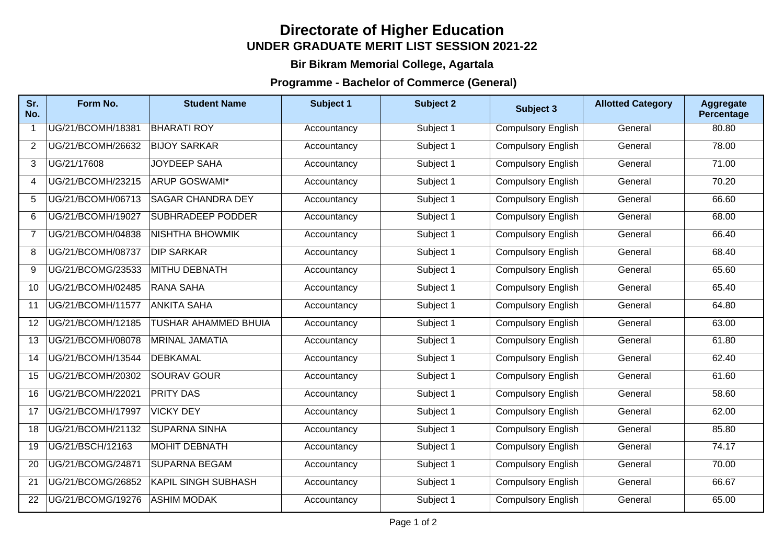### **Directorate of Higher Education UNDER GRADUATE MERIT LIST SESSION 2021-22**

### **Bir Bikram Memorial College, Agartala**

#### **Programme - Bachelor of Commerce (General)**

| Sr.<br>No.     | Form No.                 | <b>Student Name</b>         | Subject 1   | <b>Subject 2</b> | Subject 3                 | <b>Allotted Category</b> | <b>Aggregate</b><br>Percentage |
|----------------|--------------------------|-----------------------------|-------------|------------------|---------------------------|--------------------------|--------------------------------|
| $\overline{1}$ | UG/21/BCOMH/18381        | <b>BHARATI ROY</b>          | Accountancy | Subject 1        | <b>Compulsory English</b> | General                  | 80.80                          |
| 2              | UG/21/BCOMH/26632        | <b>BIJOY SARKAR</b>         | Accountancy | Subject 1        | <b>Compulsory English</b> | General                  | 78.00                          |
| 3              | UG/21/17608              | <b>JOYDEEP SAHA</b>         | Accountancy | Subject 1        | <b>Compulsory English</b> | General                  | 71.00                          |
| $\overline{4}$ | UG/21/BCOMH/23215        | <b>ARUP GOSWAMI*</b>        | Accountancy | Subject 1        | <b>Compulsory English</b> | General                  | 70.20                          |
| 5              | JG/21/BCOMH/06713        | <b>SAGAR CHANDRA DEY</b>    | Accountancy | Subject 1        | <b>Compulsory English</b> | General                  | 66.60                          |
| 6              | UG/21/BCOMH/19027        | <b>SUBHRADEEP PODDER</b>    | Accountancy | Subject 1        | <b>Compulsory English</b> | General                  | 68.00                          |
| $\overline{7}$ | UG/21/BCOMH/04838        | <b>NISHTHA BHOWMIK</b>      | Accountancy | Subject 1        | <b>Compulsory English</b> | General                  | 66.40                          |
| 8              | UG/21/BCOMH/08737        | <b>DIP SARKAR</b>           | Accountancy | Subject 1        | <b>Compulsory English</b> | General                  | 68.40                          |
| 9              | UG/21/BCOMG/23533        | <b>MITHU DEBNATH</b>        | Accountancy | Subject 1        | <b>Compulsory English</b> | General                  | 65.60                          |
| 10             | <b>JG/21/BCOMH/02485</b> | <b>RANA SAHA</b>            | Accountancy | Subject 1        | <b>Compulsory English</b> | General                  | 65.40                          |
| 11             | UG/21/BCOMH/11577        | <b>ANKITA SAHA</b>          | Accountancy | Subject 1        | <b>Compulsory English</b> | General                  | 64.80                          |
| 12             | <b>JG/21/BCOMH/12185</b> | <b>TUSHAR AHAMMED BHUIA</b> | Accountancy | Subject 1        | <b>Compulsory English</b> | General                  | 63.00                          |
| 13             | UG/21/BCOMH/08078        | MRINAL JAMATIA              | Accountancy | Subject 1        | <b>Compulsory English</b> | General                  | 61.80                          |
| 14             | <b>JG/21/BCOMH/13544</b> | <b>DEBKAMAL</b>             | Accountancy | Subject 1        | <b>Compulsory English</b> | General                  | 62.40                          |
| 15             | <b>JG/21/BCOMH/20302</b> | <b>SOURAV GOUR</b>          | Accountancy | Subject 1        | <b>Compulsory English</b> | General                  | 61.60                          |
| 16             | UG/21/BCOMH/22021        | <b>PRITY DAS</b>            | Accountancy | Subject 1        | <b>Compulsory English</b> | General                  | 58.60                          |
| 17             | JG/21/BCOMH/17997        | <b>VICKY DEY</b>            | Accountancy | Subject 1        | <b>Compulsory English</b> | General                  | 62.00                          |
| 18             | <b>JG/21/BCOMH/21132</b> | <b>SUPARNA SINHA</b>        | Accountancy | Subject 1        | <b>Compulsory English</b> | General                  | 85.80                          |
| 19             | UG/21/BSCH/12163         | <b>MOHIT DEBNATH</b>        | Accountancy | Subject 1        | <b>Compulsory English</b> | General                  | 74.17                          |
| 20             | UG/21/BCOMG/24871        | <b>SUPARNA BEGAM</b>        | Accountancy | Subject 1        | Compulsory English        | General                  | 70.00                          |
| 21             | UG/21/BCOMG/26852        | <b>KAPIL SINGH SUBHASH</b>  | Accountancy | Subject 1        | <b>Compulsory English</b> | General                  | 66.67                          |
| 22             | UG/21/BCOMG/19276        | <b>ASHIM MODAK</b>          | Accountancy | Subject 1        | <b>Compulsory English</b> | General                  | 65.00                          |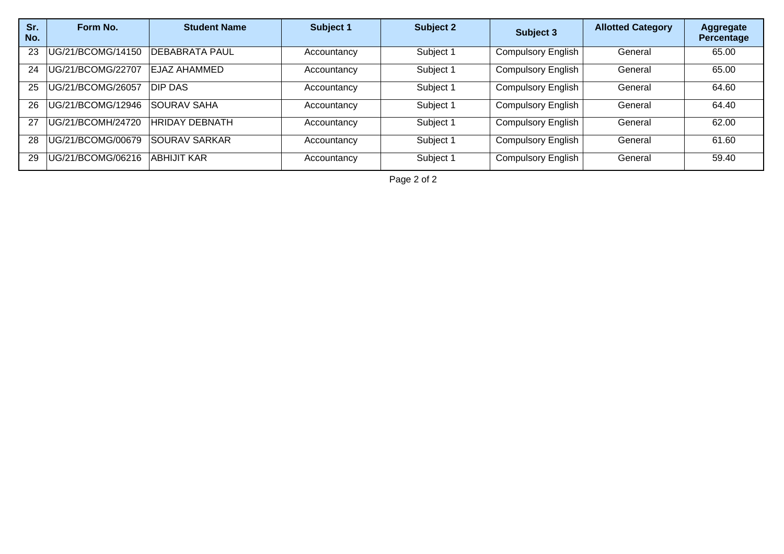| Sr.<br>No. | Form No.          | <b>Student Name</b>    | Subject 1   | Subject 2 | Subject 3                 | <b>Allotted Category</b> | Aggregate<br><b>Percentage</b> |
|------------|-------------------|------------------------|-------------|-----------|---------------------------|--------------------------|--------------------------------|
| 23         | UG/21/BCOMG/14150 | <b>IDEBABRATA PAUL</b> | Accountancy | Subject 1 | <b>Compulsory English</b> | General                  | 65.00                          |
| 24         | UG/21/BCOMG/22707 | EJAZ AHAMMED           | Accountancy | Subject 1 | <b>Compulsory English</b> | General                  | 65.00                          |
| 25         | UG/21/BCOMG/26057 | <b>IDIP DAS</b>        | Accountancy | Subject 1 | <b>Compulsory English</b> | General                  | 64.60                          |
| 26         | UG/21/BCOMG/12946 | ISOURAV SAHA           | Accountancy | Subject 1 | <b>Compulsory English</b> | General                  | 64.40                          |
| 27         | UG/21/BCOMH/24720 | <b>HRIDAY DEBNATH</b>  | Accountancy | Subject 1 | <b>Compulsory English</b> | General                  | 62.00                          |
| 28         | UG/21/BCOMG/00679 | <b>SOURAV SARKAR</b>   | Accountancy | Subject 1 | <b>Compulsory English</b> | General                  | 61.60                          |
| 29         | UG/21/BCOMG/06216 | <b>ABHIJIT KAR</b>     | Accountancy | Subject 1 | <b>Compulsory English</b> | General                  | 59.40                          |

Page 2 of 2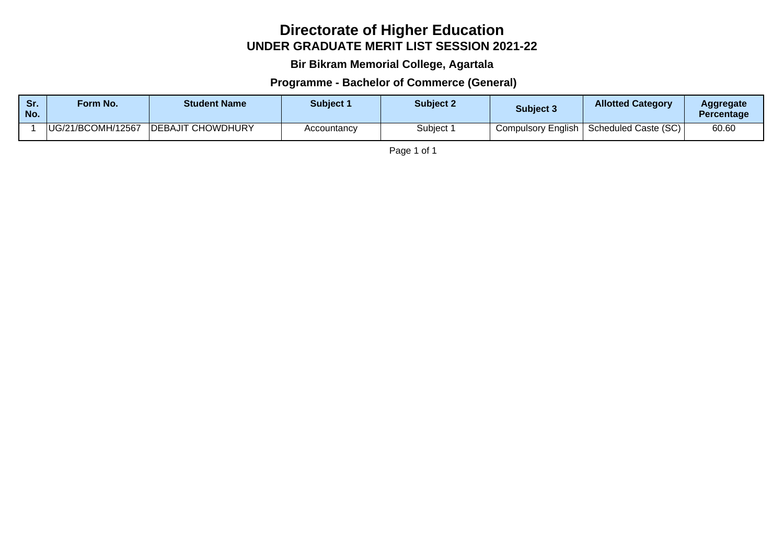# **Directorate of Higher Education UNDER GRADUATE MERIT LIST SESSION 2021-22**

### **Bir Bikram Memorial College, Agartala**

### **Programme - Bachelor of Commerce (General)**

| <b>Sr.</b><br>No. | Form No.          | <b>Student Name</b>       | Subiect 1   | <b>Subject 2</b> | <b>Subject 3</b>   | <b>Allotted Category</b> | <b>Aggregate</b><br><b>Percentage</b> |
|-------------------|-------------------|---------------------------|-------------|------------------|--------------------|--------------------------|---------------------------------------|
|                   | UG/21/BCOMH/12567 | <b>IDEBAJIT CHOWDHURY</b> | Accountancv | Subject 1        | Compulsory English | Scheduled Caste (SC)     | 60.60                                 |

Page 1 of 1